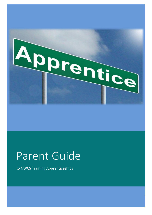

### Parent Guide

to NWCS Training Apprenticeships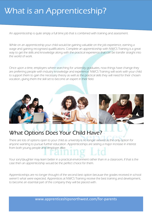### What is an Apprenticeship?

An apprenticeship is quite simply a full time job that is combined with training and assessment.

While on an apprenticeship your child would be gaining valuable on the job experience, earning a wage and gaining recognised qualifications. Complete an apprenticeship with NWCS Training is a great way to get the skills and knowledge along with the practical experience that can be transfer straight into the world of work.

Once upon a time, employers where searching for university graduates, now things have change they are preferring people with industry knowledge and experience. NWCS Training will work with your child to support them to gain the necessary theory as well as the practical skills they will need for their chosen vocation, giving them the skill set to become an expert in their field.



#### What Options Does Your Child Have?

There are lots of options open to your child as university is no longer viewed as the only option for anyone wanting to pursue further education. Apprenticeships are seeing a major increase in interest from both young people and employer alike.

Your son/daughter may learn better in a practical environment rather than in a classroom, if that is the case then an apprenticeship would be the perfect choice for them.

Apprenticeships are no longer thought of the second best option because the grades received in school weren't what were expected. Apprentices at NWCS Training receive the best training and development, to become an essential part of the company they will be placed with.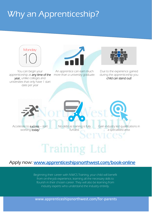### Why an Apprenticeship?



#### Apply now: www.apprenticeshipsnorthwest.com/book-online

ginning their career with N<sub>OCS</sub> Training, your child will be child with the inter-<br>from on-the-job experience, learning all the necessary skills to flourish in their chosen career. They will also be learning from industry experts who understand the industry entirely. Beginning their career with NWCS Training, your child will benefit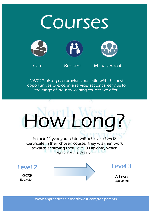# **Courses**







Care Business Management

NWCS Training can provide your child with the best opportunities to excel in a services sector career due to the range of industry leading courses we offer.



A Level Equivelent

**GCSE** Equivalent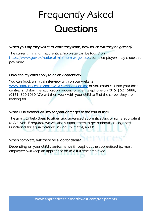# Frequently Asked **Questions**

#### When you say they will earn while they learn, how much will they be getting?

The current minimum apprenticeship wage can be found on [https://www.gov.uk/national-minimum-wage-rates,](https://www.gov.uk/national-minimum-wage-rates) some employers may choose to pay more.

#### How can my child apply to be an Apprentice?

You can book an initial interview with on our website [www.apprenticeshipsnorthwest.com/book-online](http://www.apprenticeshipsnorthwest.com/book-online) or you could call into your local centres and start the application process or even telephone on (0151) 521 5888, (0161) 320 9060. We will then work with your child to find the career they are looking for.

#### What Qualification will my son/daughter get at the end of this?

The aim is to help them to attain and advanced apprenticeship, which is equivalent to A Levels. If required we will also support them to get nationally recognised Functional skills qualifications in English, maths, and ICT.

#### When complete, will there be a job for them?

Depending on your child's performance throughout the apprenticeship, most employers will keep an apprentice on as a full time employee.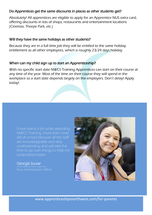#### Do Apprentices get the same discounts in places as other students get?

Absolutely! All apprentices are eligible to apply for an Apprentice NUS extra card, offering discounts in lots of shops, restaurants and entertainment locations (Cinemas, Thorpe Park, etc.)

#### Will they have the same holidays as other students?

Because they are in a full time job they will be entitled to the same holiday entitlement as all other employees, which is roughly 23/24 days holiday.

#### When can my child sign up to start an Apprenticeship?

With no specific start date NWCS Training Apprentices can start on their course at any time of the year. Most of the time on their course they will spend in the workplace so a start date depends largely on the employers. Don't delay! Apply today!

I have learnt a lot while attending NWCS Training, more than I ever did at school because all the staff are knowledgeable and very understanding and will take the time to go over things to help me understand better.

#### Georgia Soutar

Now Administration Officer

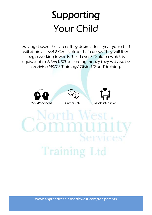## Supporting Your Child

Having chosen the career they desire after 1 year your child will attain a Level 2 Certificate in that course. They will then begin working towards their Level 3 Diploma which is equivalent to A level. While earning money they will also be receiving NWCS Trainings' Ofsted 'Good' training.

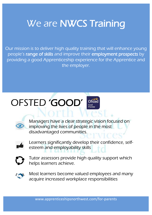### We are **NWCS** Training

Our mission is to deliver high quality training that will enhance young people's range of skills and improve their employment prospects by providing a good Apprenticeship experience for the Apprentice and the employer.

### OFSTED 'GOOD'





Managers have a clear strategic vision focused on improving the lives of people in the most disadvantaged communities.



Learners significantly develop their confidence, selfesteem and employability skills



Tutor assessors provide high quality support which helps learners achieve.



Most learners become valued employees and many acquire increased workplace responsibilities